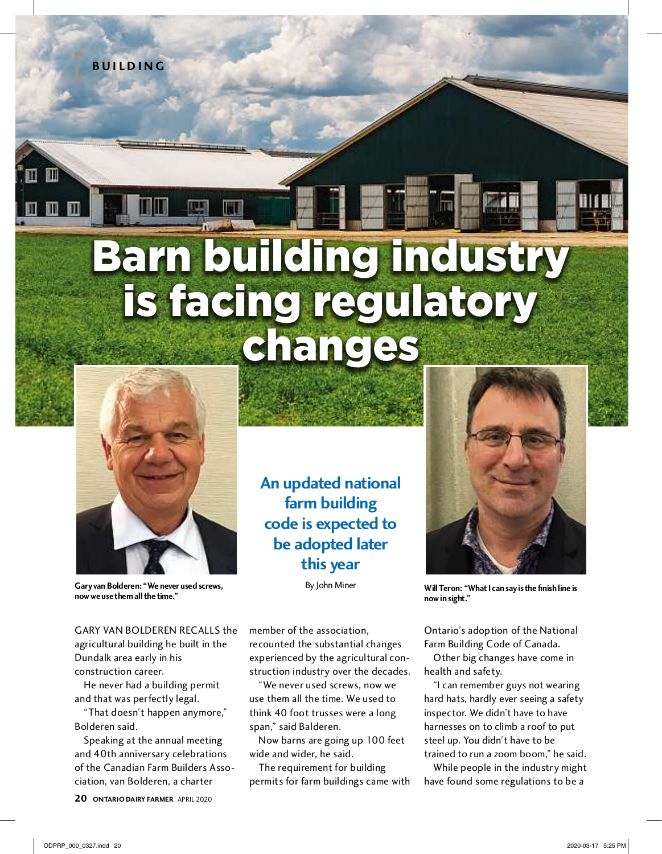**b u I l D I N G**

m

## Barn building industry is facing regulatory changes



**Gary van bolderen: "We never used screws, now we use them all the time."**

garY van BoldErEn rEcallS the agricultural building he built in the Dundalk area early in his construction career.

he never had a building permit and that was perfectly legal.

"That doesn't happen anymore," Bolderen said.

Speaking at the annual meeting and 40th anniversary celebrations of the Canadian Farm Builders Association, van Bolderen, a charter

**20 ONTARIO DAIRY FARMER** april 2020

**An updated national farm building code is expected to be adopted later this year**

By John Miner

recounted the substantial changes experienced by the agricultural construction industry over the decades. "We never used screws, now we use them all the time. We used to think 40 foot trusses were a long

Now barns are going up 100 feet

The requirement for building permits for farm buildings came with

member of the association,

span," said Balderen.

wide and wider, he said.

**Will Teron: "What I can say is the finish line is now in sight."**

Ontario's adoption of the National farm Building code of canada.

other big changes have come in health and safety.

"i can remember guys not wearing hard hats, hardly ever seeing a safety inspector. We didn't have to have harnesses on to climb a roof to put steel up. You didn't have to be trained to run a zoom boom," he said.

While people in the industry might have found some regulations to be a